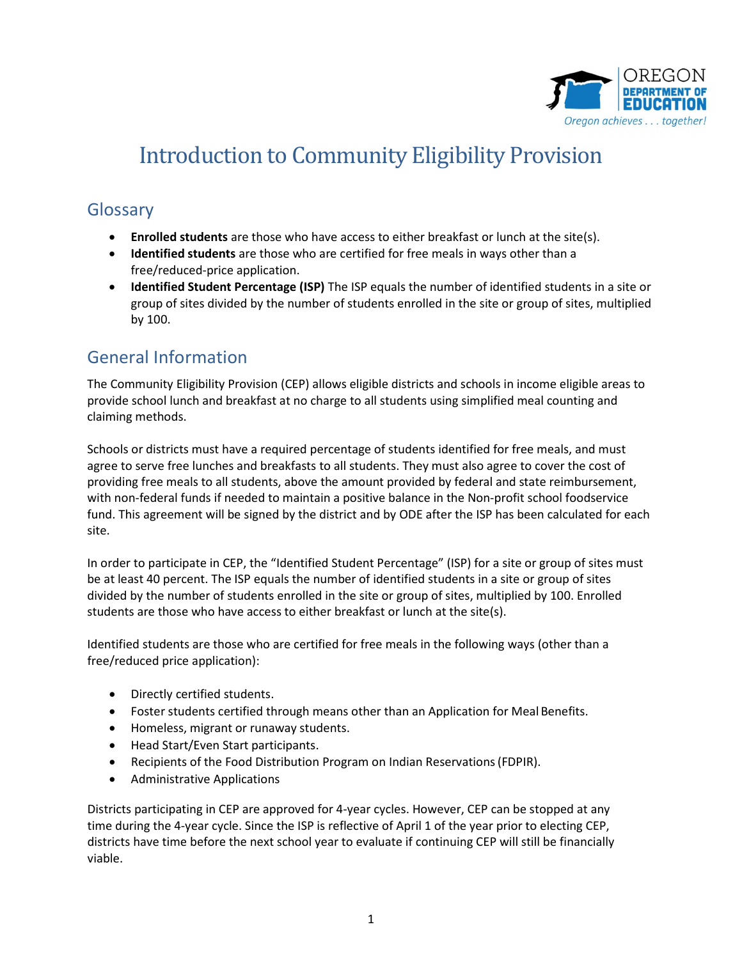

# Introduction to Community Eligibility Provision

### Glossary

- **Enrolled students** are those who have access to either breakfast or lunch at the site(s).
- Identified students are those who are certified for free meals in ways other than a free/reduced-price application.
- Identified Student Percentage (ISP) The ISP equals the number of identified students in a site or group of sites divided by the number of students enrolled in the site or group of sites, multiplied by 100.

## General Information

 The Community Eligibility Provision (CEP) allows eligible districts and schools in income eligible areas to provide school lunch and breakfast at no charge to all students using simplified meal counting and claiming methods.

 Schools or districts must have a required percentage of students identified for free meals, and must agree to serve free lunches and breakfasts to all students. They must also agree to cover the cost of providing free meals to all students, above the amount provided by federal and state reimbursement, with non-federal funds if needed to maintain a positive balance in the Non-profit school foodservice fund. This agreement will be signed by the district and by ODE after the ISP has been calculated for each site.

 In order to participate in CEP, the "Identified Student Percentage" (ISP) for a site or group of sites must be at least 40 percent. The ISP equals the number of identified students in a site or group of sites divided by the number of students enrolled in the site or group of sites, multiplied by 100. Enrolled students are those who have access to either breakfast or lunch at the site(s).

 Identified students are those who are certified for free meals in the following ways (other than a free/reduced price application):

- Directly certified students.
- Foster students certified through means other than an Application for Meal Benefits.
- Homeless, migrant or runaway students.
- Head Start/Even Start participants.
- Recipients of the Food Distribution Program on Indian Reservations(FDPIR).
- Administrative Applications

 Districts participating in CEP are approved for 4-year cycles. However, CEP can be stopped at any time during the 4-year cycle. Since the ISP is reflective of April 1 of the year prior to electing CEP, districts have time before the next school year to evaluate if continuing CEP will still be financially viable.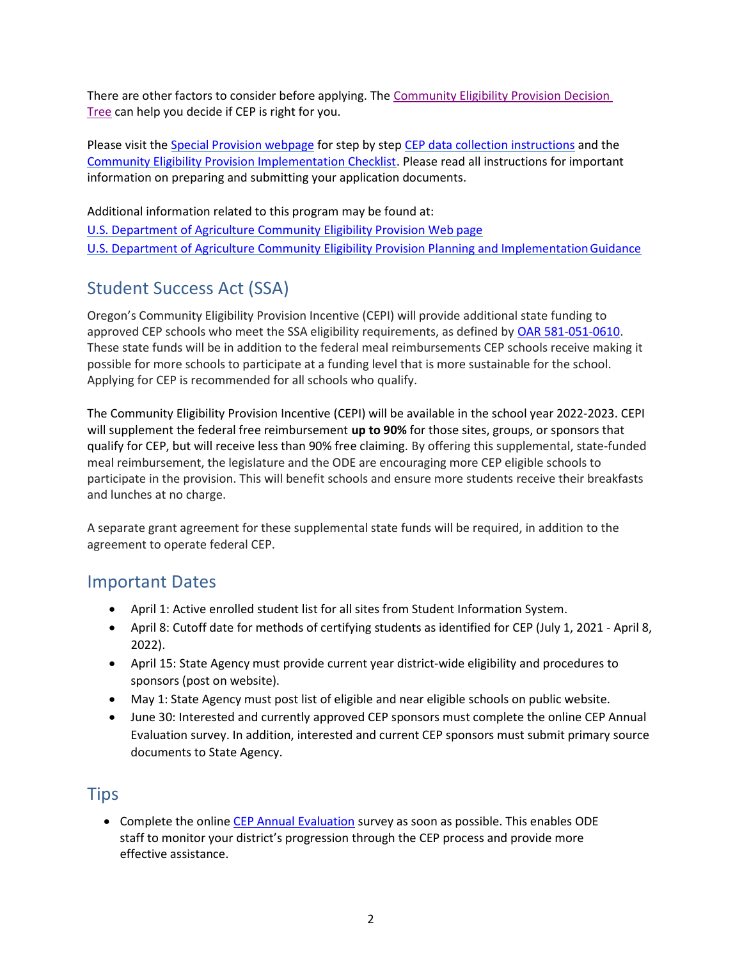There are other factors to consider before applying. The Community Eligibility Provision Decision Tree can help you decide if CEP is right for you.

Please visit the Special Provision webpage for step by step CEP data collection instructions and the Community Eligibility Provision Implementation Checklist. Please read all instructions for important information on preparing and submitting your application documents.

 Additional information related to this program may be found at: U.S. Department of Agriculture Community Eligibility Provision Web page

U.S. Department of Agriculture Community Eligibility Provision Planning and Implementation Guidance

# Student Success Act (SSA)

 Oregon's Community Eligibility Provision Incentive (CEPI) will provide additional state funding to approved CEP schools who meet the SSA eligibility requirements, as defined by **OAR 581-051-0610**. These state funds will be in addition to the federal meal reimbursements CEP schools receive making it possible for more schools to participate at a funding level that is more sustainable for the school. Applying for CEP is recommended for all schools who qualify.

 The Community Eligibility Provision Incentive (CEPI) will be available in the school year 2022-2023. CEPI will supplement the federal free reimbursement up to 90% for those sites, groups, or sponsors that qualify for CEP, but will receive less than 90% free claiming. By offering this supplemental, state-funded meal reimbursement, the legislature and the ODE are encouraging more CEP eligible schools to participate in the provision. This will benefit schools and ensure more students receive their breakfasts and lunches at no charge.

 A separate grant agreement for these supplemental state funds will be required, in addition to the agreement to operate federal CEP.

#### Important Dates

- April 1: Active enrolled student list for all sites from Student Information System.
- April 8: Cutoff date for methods of certifying students as identified for CEP (July 1, 2021 April 8, 2022).
- April 15: State Agency must provide current year district-wide eligibility and procedures to sponsors (post on website).
- May 1: State Agency must post list of eligible and near eligible schools on public website.
- June 30: Interested and currently approved CEP sponsors must complete the online CEP Annual Evaluation survey. In addition, interested and current CEP sponsors must submit primary source documents to State Agency.

## Tips

**•** Complete the online CEP Annual Evaluation survey as soon as possible. This enables ODE staff to monitor your district's progression through the CEP process and provide more effective assistance.